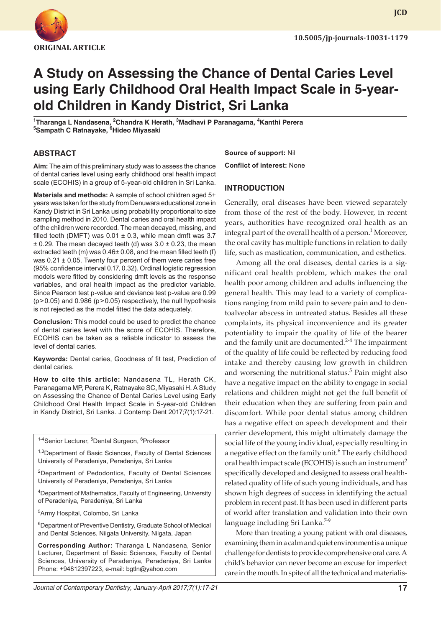

**JCD**

# **A Study on Assessing the Chance of Dental Caries Level using Early Childhood Oral Health Impact Scale in 5-yearold Children in Kandy District, Sri Lanka**

**1 Tharanga L Nandasena, 2 Chandra K Herath, <sup>3</sup> Madhavi P Paranagama, <sup>4</sup> Kanthi Perera 5 Sampath C Ratnayake, <sup>6</sup> Hideo Miyasaki**

## **ABSTRACT**

**Aim:** The aim of this preliminary study was to assess the chance of dental caries level using early childhood oral health impact scale (ECOHIS) in a group of 5-year-old children in Sri Lanka.

**Materials and methods:** A sample of school children aged 5+ years was taken for the study from Denuwara educational zone in Kandy District in Sri Lanka using probability proportional to size sampling method in 2010. Dental caries and oral health impact of the children were recorded. The mean decayed, missing, and filled teeth (DMFT) was  $0.01 \pm 0.3$ , while mean dmft was 3.7  $\pm$  0.29. The mean decayed teeth (d) was 3.0  $\pm$  0.23, the mean extracted teeth (m) was 0.46± 0.08, and the mean filled teeth (f) was 0.21 ± 0.05. Twenty four percent of them were caries free (95% confidence interval 0.17, 0.32). Ordinal logistic regression models were fitted by considering dmft levels as the response variables, and oral health impact as the predictor variable. Since Pearson test p-value and deviance test p-value are 0.99 (p>0.05) and 0.986 (p>0.05) respectively, the null hypothesis is not rejected as the model fitted the data adequately.

**Conclusion:** This model could be used to predict the chance of dental caries level with the score of ECOHIS. Therefore, ECOHIS can be taken as a reliable indicator to assess the level of dental caries.

**Keywords:** Dental caries, Goodness of fit test, Prediction of dental caries.

**How to cite this article:** Nandasena TL, Herath CK, Paranagama MP, Perera K, Ratnayake SC, Miyasaki H. A Study on Assessing the Chance of Dental Caries Level using Early Childhood Oral Health Impact Scale in 5-year-old Children in Kandy District, Sri Lanka. J Contemp Dent 2017;7(1):17-21.

<sup>1-4</sup>Senior Lecturer, <sup>5</sup>Dental Surgeon, <sup>6</sup>Professor

<sup>1,3</sup>Department of Basic Sciences, Faculty of Dental Sciences University of Peradeniya, Peradeniya, Sri Lanka

<sup>2</sup>Department of Pedodontics, Faculty of Dental Sciences University of Peradeniya, Peradeniya, Sri Lanka

4 Department of Mathematics, Faculty of Engineering, University of Peradeniya, Peradeniya, Sri Lanka

5 Army Hospital, Colombo, Sri Lanka

<sup>6</sup>Department of Preventive Dentistry, Graduate School of Medical and Dental Sciences, Niigata University, Niigata, Japan

**Corresponding Author:** Tharanga L Nandasena, Senior Lecturer, Department of Basic Sciences, Faculty of Dental Sciences, University of Peradeniya, Peradeniya, Sri Lanka Phone: +94812397223, e-mail: bgtln@yahoo.com

*Journal of Contemporary Dentistry, January-April 2017;7(1):17-21* **17**

**Source of support:** Nil

**Conflict of interest:** None

#### **INTRODUCTION**

Generally, oral diseases have been viewed separately from those of the rest of the body. However, in recent years, authorities have recognized oral health as an integral part of the overall health of a person.<sup>1</sup> Moreover, the oral cavity has multiple functions in relation to daily life, such as mastication, communication, and esthetics.

Among all the oral diseases, dental caries is a significant oral health problem, which makes the oral health poor among children and adults influencing the general health. This may lead to a variety of complications ranging from mild pain to severe pain and to dentoalveolar abscess in untreated status. Besides all these complaints, its physical inconvenience and its greater potentiality to impair the quality of life of the bearer and the family unit are documented. $2-4$  The impairment of the quality of life could be reflected by reducing food intake and thereby causing low growth in children and worsening the nutritional status.<sup>5</sup> Pain might also have a negative impact on the ability to engage in social relations and children might not get the full benefit of their education when they are suffering from pain and discomfort. While poor dental status among children has a negative effect on speech development and their carrier development, this might ultimately damage the social life of the young individual, especially resulting in a negative effect on the family unit.<sup>6</sup> The early childhood oral health impact scale (ECOHIS) is such an instrument<sup>2</sup> specifically developed and designed to assess oral healthrelated quality of life of such young individuals, and has shown high degrees of success in identifying the actual problem in recent past. It has been used in different parts of world after translation and validation into their own language including Sri Lanka.<sup>7-9</sup>

More than treating a young patient with oral diseases, examining them in a calm and quiet environment is a unique challenge for dentists to provide comprehensive oral care. A child's behavior can never become an excuse for imperfect care in the mouth. In spite of all the technical and materialis-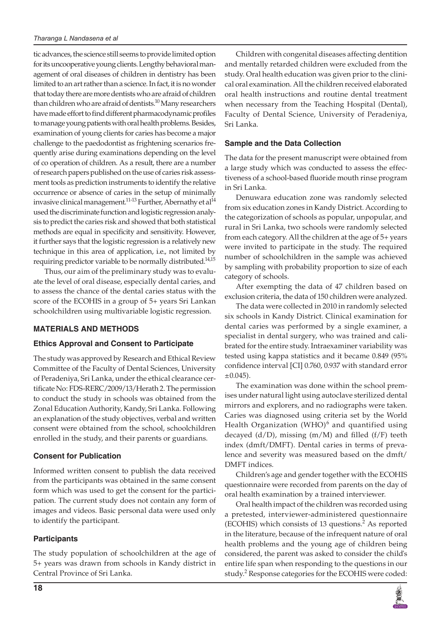tic advances, the science still seems to provide limited option for its uncooperative young clients. Lengthy behavioral management of oral diseases of children in dentistry has been limited to an art rather than a science. In fact, it is no wonder that today there are more dentists who are afraid of children than children who are afraid of dentists.<sup>10</sup> Many researchers have made effort to find different pharmacodynamic profiles to manage young patients with oral health problems. Besides, examination of young clients for caries has become a major challenge to the paedodontist as frightening scenarios frequently arise during examinations depending on the level of co operation of children. As a result, there are a number of research papers published on the use of caries risk assessment tools as prediction instruments to identify the relative occurrence or absence of caries in the setup of minimally invasive clinical management.<sup>11-13</sup> Further, Abernathy et al<sup>14</sup> used the discriminate function and logistic regression analysis to predict the caries risk and showed that both statistical methods are equal in specificity and sensitivity. However, it further says that the logistic regression is a relatively new technique in this area of application, i.e., not limited by requiring predictor variable to be normally distributed.<sup>14,15</sup>

Thus, our aim of the preliminary study was to evaluate the level of oral disease, especially dental caries, and to assess the chance of the dental caries status with the score of the ECOHIS in a group of 5+ years Sri Lankan schoolchildren using multivariable logistic regression.

## **MATERIALS AND METHODS**

## **Ethics Approval and Consent to Participate**

The study was approved by Research and Ethical Review Committee of the Faculty of Dental Sciences, University of Peradeniya, Sri Lanka, under the ethical clearance certificate No: FDS-RERC/2009/13/Herath 2. The permission to conduct the study in schools was obtained from the Zonal Education Authority, Kandy, Sri Lanka. Following an explanation of the study objectives, verbal and written consent were obtained from the school, schoolchildren enrolled in the study, and their parents or guardians.

## **Consent for Publication**

Informed written consent to publish the data received from the participants was obtained in the same consent form which was used to get the consent for the participation. The current study does not contain any form of images and videos. Basic personal data were used only to identify the participant.

## **Participants**

The study population of schoolchildren at the age of 5+ years was drawn from schools in Kandy district in Central Province of Sri Lanka.

Children with congenital diseases affecting dentition and mentally retarded children were excluded from the study. Oral health education was given prior to the clinical oral examination. All the children received elaborated oral health instructions and routine dental treatment when necessary from the Teaching Hospital (Dental), Faculty of Dental Science, University of Peradeniya, Sri Lanka.

#### **Sample and the Data Collection**

The data for the present manuscript were obtained from a large study which was conducted to assess the effectiveness of a school-based fluoride mouth rinse program in Sri Lanka.

Denuwara education zone was randomly selected from six education zones in Kandy District. According to the categorization of schools as popular, unpopular, and rural in Sri Lanka, two schools were randomly selected from each category. All the children at the age of 5+ years were invited to participate in the study. The required number of schoolchildren in the sample was achieved by sampling with probability proportion to size of each category of schools.

After exempting the data of 47 children based on exclusion criteria, the data of 150 children were analyzed.

The data were collected in 2010 in randomly selected six schools in Kandy District. Clinical examination for dental caries was performed by a single examiner, a specialist in dental surgery, who was trained and calibrated for the entire study. Intraexaminer variability was tested using kappa statistics and it became 0.849 (95% confidence interval [CI] 0.760, 0.937 with standard error  $\pm 0.045$ ).

The examination was done within the school premises under natural light using autoclave sterilized dental mirrors and explorers, and no radiographs were taken. Caries was diagnosed using criteria set by the World Health Organization (WHO) $^6$  and quantified using decayed (d/D), missing (m/M) and filled (f/F) teeth index (dmft/DMFT). Dental caries in terms of prevalence and severity was measured based on the dmft/ DMFT indices.

Children's age and gender together with the ECOHIS questionnaire were recorded from parents on the day of oral health examination by a trained interviewer.

Oral health impact of the children was recorded using a pretested, interviewer-administered questionnaire  $(ECOHIS)$  which consists of 13 questions.<sup>2</sup> As reported in the literature, because of the infrequent nature of oral health problems and the young age of children being considered, the parent was asked to consider the child's entire life span when responding to the questions in our study.<sup>2</sup> Response categories for the ECOHIS were coded:

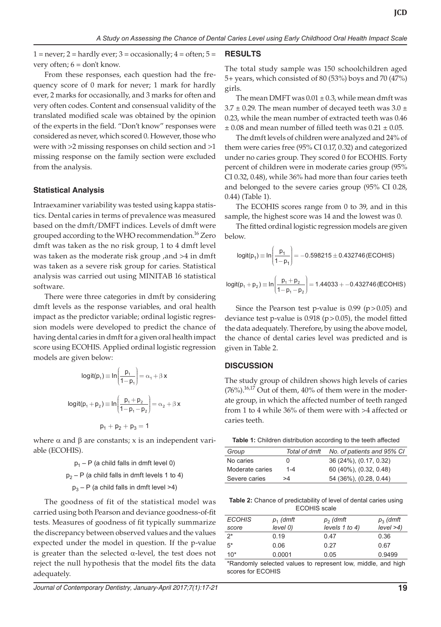$1 =$  never;  $2 =$  hardly ever;  $3 =$  occasionally;  $4 =$  often;  $5 =$ very often; 6 = don't know.

From these responses, each question had the frequency score of 0 mark for never; 1 mark for hardly ever, 2 marks for occasionally, and 3 marks for often and very often codes. Content and consensual validity of the translated modified scale was obtained by the opinion of the experts in the field. "Don't know" responses were considered as never, which scored 0. However, those who were with >2 missing responses on child section and >1 missing response on the family section were excluded from the analysis.

## **Statistical Analysis**

Intraexaminer variability was tested using kappa statistics. Dental caries in terms of prevalence was measured based on the dmft/DMFT indices. Levels of dmft were grouped according to the WHO recommendation.<sup>16</sup> Zero dmft was taken as the no risk group, 1 to 4 dmft level was taken as the moderate risk group ,and >4 in dmft was taken as a severe risk group for caries. Statistical analysis was carried out using MINITAB 16 statistical software.

There were three categories in dmft by considering dmft levels as the response variables, and oral health impact as the predictor variable; ordinal logistic regression models were developed to predict the chance of having dental caries in dmft for a given oral health impact score using ECOHIS. Applied ordinal logistic regression models are given below:

$$
logit(p_1) \equiv ln\left(\frac{p_1}{1-p_1}\right) = \alpha_1 + \beta x
$$
  

$$
logit(p_1 + p_2) \equiv ln\left(\frac{p_1 + p_2}{1-p_1 - p_2}\right) = \alpha_2 + \beta x
$$
  

$$
p_1 + p_2 + p_3 = 1
$$

where  $\alpha$  and  $\beta$  are constants; x is an independent variable (ECOHIS).

> $p_1 - P$  (a child falls in dmft level 0)  $p_2 - P$  (a child falls in dmft levels 1 to 4)

 $p_3 - P$  (a child falls in dmft level >4)

The goodness of fit of the statistical model was carried using both Pearson and deviance goodness-of-fit tests. Measures of goodness of fit typically summarize the discrepancy between observed values and the values expected under the model in question. If the p-value is greater than the selected  $\alpha$ -level, the test does not reject the null hypothesis that the model fits the data adequately.

#### **RESULTS**

The total study sample was 150 schoolchildren aged 5+ years, which consisted of 80 (53%) boys and 70 (47%) girls.

The mean DMFT was  $0.01 \pm 0.3$ , while mean dmft was  $3.7 \pm 0.29$ . The mean number of decayed teeth was  $3.0 \pm 1.5$ 0.23, while the mean number of extracted teeth was 0.46  $\pm$  0.08 and mean number of filled teeth was 0.21  $\pm$  0.05.

The dmft levels of children were analyzed and 24% of them were caries free (95% CI 0.17, 0.32) and categorized under no caries group. They scored 0 for ECOHIS. Forty percent of children were in moderate caries group (95% CI 0.32, 0.48), while 36% had more than four caries teeth and belonged to the severe caries group (95% CI 0.28, 0.44) (Table 1).

The ECOHIS scores range from 0 to 39, and in this sample, the highest score was 14 and the lowest was 0.

The fitted ordinal logistic regression models are given below.

$$
logit(p_1) \equiv ln\left(\frac{p_1}{1-p_1}\right) = -0.598215 \pm 0.432746 \text{ (ECOHIS)}
$$

$$
logit(p_1 + p_2) \equiv ln\left(\frac{p_1 + p_2}{1 - p_1 - p_2}\right) = 1.44033 + -0.432746 \text{ (ECOHIS)}
$$

Since the Pearson test p-value is  $0.99$  (p >  $0.05$ ) and deviance test p-value is  $0.918$  (p >  $0.05$ ), the model fitted the data adequately. Therefore, by using the above model, the chance of dental caries level was predicted and is given in Table 2.

#### **DISCUSSION**

The study group of children shows high levels of caries  $(76\%)$ .<sup>16,17</sup> Out of them, 40% of them were in the moderate group, in which the affected number of teeth ranged from 1 to 4 while 36% of them were with >4 affected or caries teeth.

| Table 1: Children distribution according to the teeth affected |  |  |
|----------------------------------------------------------------|--|--|
|----------------------------------------------------------------|--|--|

| Group           | Total of dmft | No. of patients and 95% CI |
|-----------------|---------------|----------------------------|
| No caries       |               | 36 (24%), (0.17, 0.32)     |
| Moderate caries | $1 - 4$       | 60 (40%), (0.32, 0.48)     |
| Severe caries   | >4            | 54 (36%), (0.28, 0.44)     |

**Table 2:** Chance of predictability of level of dental caries using ECOHIS scale

| <b>ECOHIS</b> | $p_1$ (dmft | $p_2$ (dmft         | $p_3$ (dmft   |
|---------------|-------------|---------------------|---------------|
| score         | level 0)    | levels $1$ to $4$ ) | $level > 4$ ) |
| $2^*$         | 0.19        | 0.47                | 0.36          |
| $5*$          | 0.06        | 0.27                | 0.67          |
| $10*$         | 0.0001      | 0.05                | 0.9499        |
|               |             |                     |               |

\*Randomly selected values to represent low, middle, and high scores for ECOHIS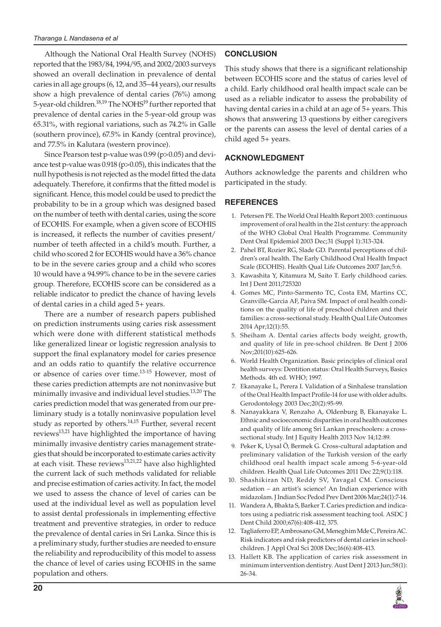Although the National Oral Health Survey (NOHS) reported that the 1983/84, 1994/95, and 2002/2003 surveys showed an overall declination in prevalence of dental caries in all age groups (6, 12, and 35–44 years), our results show a high prevalence of dental caries (76%) among 5-year-old children.<sup>18,19</sup> The NOHS<sup>19</sup> further reported that prevalence of dental caries in the 5-year-old group was 65.31%, with regional variations, such as 74.2% in Galle (southern province), 67.5% in Kandy (central province), and 77.5% in Kalutara (western province).

Since Pearson test p-value was 0.99 (p>0.05) and deviance test p-value was 0.918 (p>0.05), this indicates that the null hypothesis is not rejected as the model fitted the data adequately. Therefore, it confirms that the fitted model is significant. Hence, this model could be used to predict the probability to be in a group which was designed based on the number of teeth with dental caries, using the score of ECOHIS. For example, when a given score of ECOHIS is increased, it reflects the number of cavities present/ number of teeth affected in a child's mouth. Further, a child who scored 2 for ECOHIS would have a 36% chance to be in the severe caries group and a child who scores 10 would have a 94.99% chance to be in the severe caries group. Therefore, ECOHIS score can be considered as a reliable indicator to predict the chance of having levels of dental caries in a child aged 5+ years.

There are a number of research papers published on prediction instruments using caries risk assessment which were done with different statistical methods like generalized linear or logistic regression analysis to support the final explanatory model for caries presence and an odds ratio to quantify the relative occurrence or absence of caries over time.13-15 However, most of these caries prediction attempts are not noninvasive but minimally invasive and individual level studies.<sup>13,20</sup> The caries prediction model that was generated from our preliminary study is a totally noninvasive population level study as reported by others.<sup>14,15</sup> Further, several recent reviews<sup>13,21</sup> have highlighted the importance of having minimally invasive dentistry caries management strategies that should be incorporated to estimate caries activity at each visit. These reviews<sup>13,21,22</sup> have also highlighted the current lack of such methods validated for reliable and precise estimation of caries activity. In fact, the model we used to assess the chance of level of caries can be used at the individual level as well as population level to assist dental professionals in implementing effective treatment and preventive strategies, in order to reduce the prevalence of dental caries in Sri Lanka. Since this is a preliminary study, further studies are needed to ensure the reliability and reproducibility of this model to assess the chance of level of caries using ECOHIS in the same population and others.

# **CONCLUSION**

This study shows that there is a significant relationship between ECOHIS score and the status of caries level of a child. Early childhood oral health impact scale can be used as a reliable indicator to assess the probability of having dental caries in a child at an age of 5+ years. This shows that answering 13 questions by either caregivers or the parents can assess the level of dental caries of a child aged 5+ years.

# **ACKNOWLEDGMENT**

Authors acknowledge the parents and children who participated in the study.

## **REFERENCES**

- 1. Petersen PE. The World Oral Health Report 2003: continuous improvement of oral health in the 21st century: the approach of the WHO Global Oral Health Programme. Community Dent Oral Epidemiol 2003 Dec;31 (Suppl 1):313-324.
- 2. Pahel BT, Rozier RG, Slade GD. Parental perceptions of children's oral health. The Early Childhood Oral Health Impact Scale (ECOHIS). Health Qual Life Outcomes 2007 Jan;5:6.
- 3. Kawashita Y, Kitamura M, Saito T. Early childhood caries. Int J Dent 2011;725320
- 4. Gomes MC, Pinto-Sarmento TC, Costa EM, Martins CC, Granville-Garcia AF, Paiva SM. Impact of oral health conditions on the quality of life of preschool children and their families: a cross-sectional study. Health Qual Life Outcomes 2014 Apr;12(1):55.
- 5. Sheiham A. Dental caries affects body weight, growth, and quality of life in pre-school children. Br Dent J 2006 Nov;201(10):625-626.
- 6. World Health Organization. Basic principles of clinical oral health surveys: Dentition status: Oral Health Surveys, Basics Methods. 4th ed. WHO; 1997.
- 7. Ekanayake L, Perera I. Validation of a Sinhalese translation of the Oral Health Impact Profile-14 for use with older adults. Gerodontology 2003 Dec;20(2):95-99.
- 8. Nanayakkara V, Renzaho A, Oldenburg B, Ekanayake L. Ethnic and socioeconomic disparities in oral health outcomes and quality of life among Sri Lankan preschoolers: a crosssectional study. Int J Equity Health 2013 Nov 14;12:89.
- 9. Peker K, Uysal Ö, Bermek G. Cross-cultural adaptation and preliminary validation of the Turkish version of the early childhood oral health impact scale among 5-6-year-old children. Health Qual Life Outcomes 2011 Dec 22;9(1):118.
- 10. Shashikiran ND, Reddy SV, Yavagal CM. Conscious sedation – an artist's science! An Indian experience with midazolam. J Indian Soc Pedod Prev Dent 2006 Mar;24(1):7-14.
- 11. Wandera A, Bhakta S, Barker T. Caries prediction and indicators using a pediatric risk assessment teaching tool. ASDC J Dent Child 2000;67(6):408-412, 375.
- 12. Tagliaferro EP, Ambrosano GM, Meneghim Mde C, Pereira AC. Risk indicators and risk predictors of dental caries in schoolchildren. J Appl Oral Sci 2008 Dec;16(6):408-413.
- 13. Hallett KB. The application of caries risk assessment in minimum intervention dentistry. Aust Dent J 2013 Jun;58(1): 26-34.